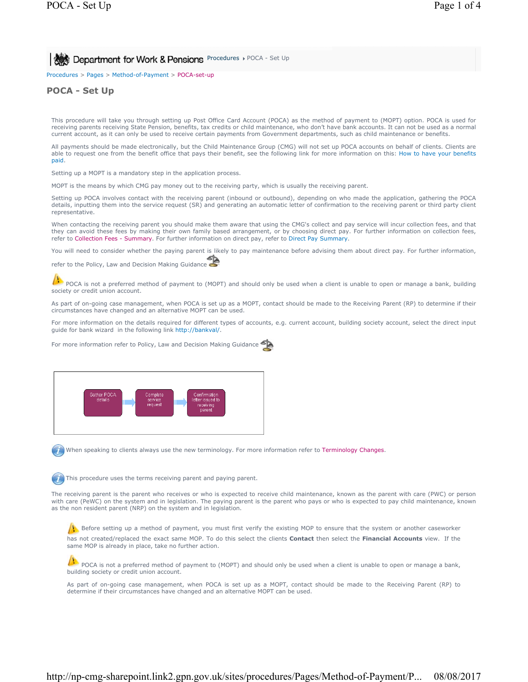# **POCA - Set Up AT AT A CONCRR & Pensions** Procedures POCA - Set Up

Procedures > Pages > Method-of-Payment > POCA-set-up

# **POCA - Set Up**

This procedure will take you through setting up Post Office Card Account (POCA) as the method of payment to (MOPT) option. POCA is used for receiving parents receiving State Pension, benefits, tax credits or child maintenance, who don't have bank accounts. It can not be used as a normal current account, as it can only be used to receive certain payments from Government departments, such as child maintenance or benefits.

All payments should be made electronically, but the Child Maintenance Group (CMG) will not set up POCA accounts on behalf of clients. Clients are able to request one from the benefit office that pays their benefit, see the following link for more information on this: How to have your benefits paid.

Setting up a MOPT is a mandatory step in the application process.

MOPT is the means by which CMG pay money out to the receiving party, which is usually the receiving parent.

Setting up POCA involves contact with the receiving parent (inbound or outbound), depending on who made the application, gathering the POCA details, inputting them into the service request (SR) and generating an automatic letter of confirmation to the receiving parent or third party client representative.

When contacting the receiving parent you should make them aware that using the CMG's collect and pay service will incur collection fees, and that they can avoid these fees by making their own family based arrangement, or by choosing direct pay. For further information on collection fees, refer to Collection Fees - Summary. For further information on direct pay, refer to Direct Pay Summary.

You will need to consider whether the paying parent is likely to pay maintenance before advising them about direct pay. For further information,

refer to the Policy, Law and Decision Making Guidance

POCA is not a preferred method of payment to (MOPT) and should only be used when a client is unable to open or manage a bank, building society or credit union account.

As part of on-going case management, when POCA is set up as a MOPT, contact should be made to the Receiving Parent (RP) to determine if their circumstances have changed and an alternative MOPT can be used.

For more information on the details required for different types of accounts, e.g. current account, building society account, select the direct input guide for bank wizard in the following link http://bankval/.

For more information refer to Policy, Law and Decision Making Guidance



When speaking to clients always use the new terminology. For more information refer to Terminology Changes.

This procedure uses the terms receiving parent and paying parent.

The receiving parent is the parent who receives or who is expected to receive child maintenance, known as the parent with care (PWC) or person with care (PeWC) on the system and in legislation. The paying parent is the parent who pays or who is expected to pay child maintenance, known as the non resident parent (NRP) on the system and in legislation.

Before setting up a method of payment, you must first verify the existing MOP to ensure that the system or another caseworker has not created/replaced the exact same MOP. To do this select the clients **Contact** then select the **Financial Accounts** view. If the same MOP is already in place, take no further action.

POCA is not a preferred method of payment to (MOPT) and should only be used when a client is unable to open or manage a bank, building society or credit union account.

As part of on-going case management, when POCA is set up as a MOPT, contact should be made to the Receiving Parent (RP) to determine if their circumstances have changed and an alternative MOPT can be used.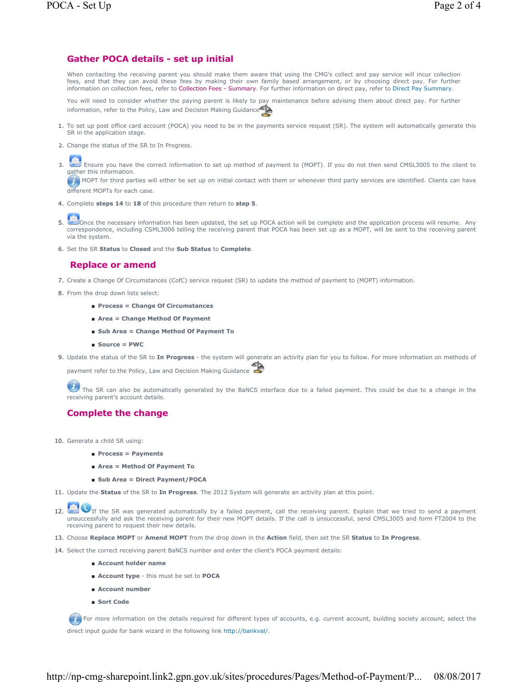## **Gather POCA details - set up initial**

When contacting the receiving parent you should make them aware that using the CMG's collect and pay service will incur collection fees, and that they can avoid these fees by making their own family based arrangement, or by choosing direct pay. For further information on collection fees, refer to Collection Fees - Summary. For further information on direct pay, refer to Direct Pay Summary.

You will need to consider whether the paying parent is likely to pay maintenance before advising them about direct pay. For further information, refer to the Policy, Law and Decision Making Guidance

- 1. To set up post office card account (POCA) you need to be in the payments service request (SR). The system will automatically generate this SR in the application stage.
- 2. Change the status of the SR to In Progress.

Ensure you have the correct information to set up method of payment to (MOPT). If you do not then send CMSL3005 to the client to gather this information. 3.

 $\bullet$  MOPT for third parties will either be set up on initial contact with them or whenever third party services are identified. Clients can have different MOPTs for each case.

- 4. Complete **steps 14** to **18** of this procedure then return to **step 5**.
- **J**Once the necessary information has been updated, the set up POCA action will be complete and the application process will resume. Any correspondence, including CSML3006 telling the receiving parent that POCA has been set up as a MOPT, will be sent to the receiving parent via the system. 5.
- 6. Set the SR **Status** to **Closed** and the **Sub Status** to **Complete**.

### **Replace or amend**

- 7. Create a Change Of Circumstances (CofC) service request (SR) to update the method of payment to (MOPT) information.
- 8. From the drop down lists select:
	- **Process = Change Of Circumstances**
	- **Area = Change Method Of Payment**
	- **Sub Area = Change Method Of Payment To**
	- **Source = PWC**
- 9. Update the status of the SR to In Progress the system will generate an activity plan for you to follow. For more information on methods of

payment refer to the Policy, Law and Decision Making Guidance

The SR can also be automatically generated by the BaNCS interface due to a failed payment. This could be due to a change in the receiving parent's account details.

# **Complete the change**

- 10. Generate a child SR using:
	- **Process = Payments**
	- **Area = Method Of Payment To**
	- **Sub Area = Direct Payment/POCA**
- 11. Update the **Status** of the SR to **In Progress**. The 2012 System will generate an activity plan at this point.
- 12. If the SR was generated automatically by a failed payment, call the receiving parent. Explain that we tried to send a payment unsuccessfully and ask the receiving parent for their new MOPT details. If the call is unsuccessful, send CMSL3005 and form FT2004 to the receiving parent to request their new details.
- 13. Choose **Replace MOPT** or **Amend MOPT** from the drop down in the **Action** field, then set the SR **Status** to **In Progress**.
- 14. Select the correct receiving parent BaNCS number and enter the client's POCA payment details:
	- **Account holder name**
	- **Account type** this must be set to **POCA**
	- **Account number**
	- **Sort Code**

For more information on the details required for different types of accounts, e.g. current account, building society account, select the direct input guide for bank wizard in the following link http://bankval/.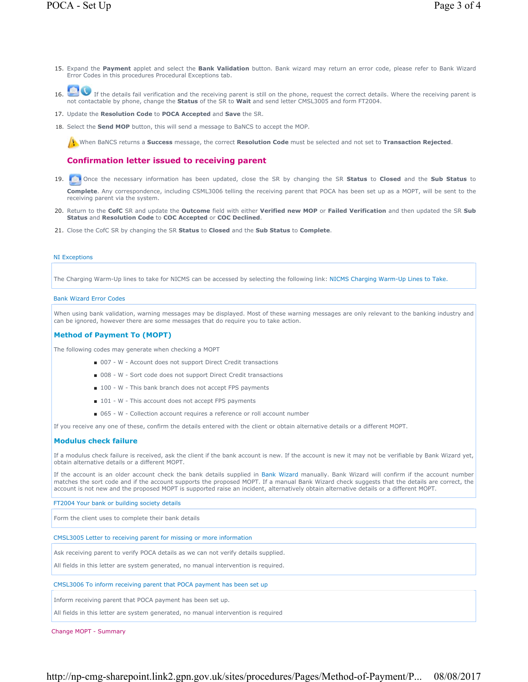- 15. Expand the Payment applet and select the Bank Validation button. Bank wizard may return an error code, please refer to Bank Wizard Error Codes in this procedures Procedural Exceptions tab.
- If the details fail verification and the receiving parent is still on the phone, request the correct details. Where the receiving parent is not contactable by phone, change the **Status** of the SR to **Wait** and send letter 16.
- 17. Update the **Resolution Code** to **POCA Accepted** and **Save** the SR.
- 18. Select the **Send MOP** button, this will send a message to BaNCS to accept the MOP.

When BaNCS returns a **Success** message, the correct **Resolution Code** must be selected and not set to **Transaction Rejected**.

### **Confirmation letter issued to receiving parent**

- 19. **Once the necessary information has been updated, close the SR by changing the SR Status to Closed and the Sub Status to Complete**. Any correspondence, including CSML3006 telling the receiving parent that POCA has been set up as a MOPT, will be sent to the receiving parent via the system.
- 20. Return to the CofC SR and update the Outcome field with either Verified new MOP or Failed Verification and then updated the SR Sub **Status** and **Resolution Code** to **COC Accepted** or **COC Declined**.
- 21. Close the CofC SR by changing the SR **Status** to **Closed** and the **Sub Status** to **Complete**.

#### NI Exceptions

The Charging Warm-Up lines to take for NICMS can be accessed by selecting the following link: NICMS Charging Warm-Up Lines to Take.

### Bank Wizard Error Codes

When using bank validation, warning messages may be displayed. Most of these warning messages are only relevant to the banking industry and can be ignored, however there are some messages that do require you to take action.

### **Method of Payment To (MOPT)**

The following codes may generate when checking a MOPT

- 007 W Account does not support Direct Credit transactions
- 008 W Sort code does not support Direct Credit transactions
- 100 W This bank branch does not accept FPS payments
- 101 W This account does not accept FPS payments
- 065 W Collection account requires a reference or roll account number

If you receive any one of these, confirm the details entered with the client or obtain alternative details or a different MOPT.

#### **Modulus check failure**

If a modulus check failure is received, ask the client if the bank account is new. If the account is new it may not be verifiable by Bank Wizard yet, obtain alternative details or a different MOPT.

If the account is an older account check the bank details supplied in Bank Wizard manually. Bank Wizard will confirm if the account number matches the sort code and if the account supports the proposed MOPT. If a manual Bank Wizard check suggests that the details are correct, the account is not new and the proposed MOPT is supported raise an incident, alternatively obtain alternative details or a different MOPT.

FT2004 Your bank or building society details

Form the client uses to complete their bank details

CMSL3005 Letter to receiving parent for missing or more information

Ask receiving parent to verify POCA details as we can not verify details supplied.

All fields in this letter are system generated, no manual intervention is required.

#### CMSL3006 To inform receiving parent that POCA payment has been set up

Inform receiving parent that POCA payment has been set up.

All fields in this letter are system generated, no manual intervention is required

Change MOPT - Summary